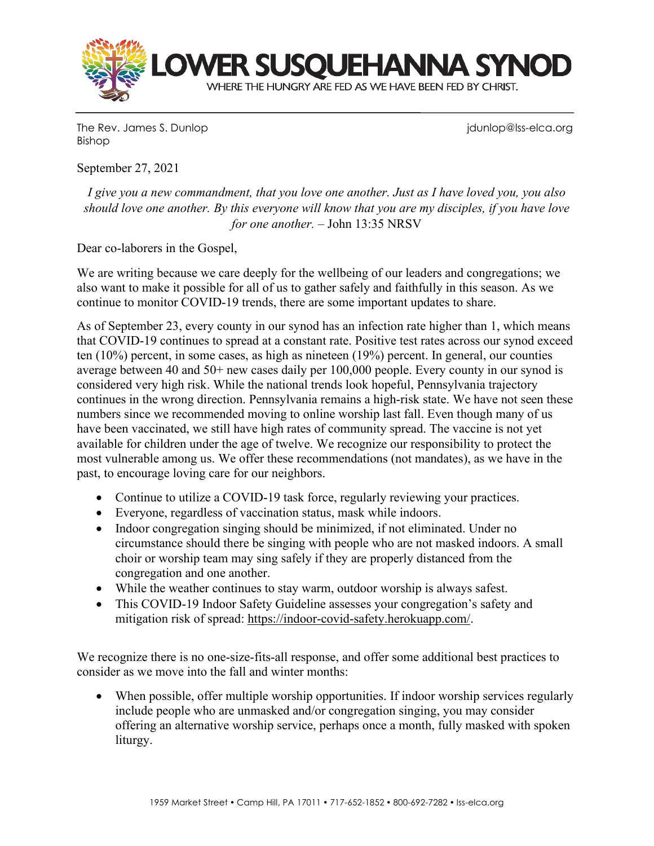

The Rev. James S. Dunlop in the Rev. James S. Dunlop in the state of the state of the state of the state of the state of the state of the state of the state of the state of the state of the state of the state of the state Bishop

September 27, 2021

*I give you a new commandment, that you love one another. Just as I have loved you, you also should love one another. By this everyone will know that you are my disciples, if you have love for one another. –* John 13:35 NRSV

Dear co-laborers in the Gospel,

We are writing because we care deeply for the wellbeing of our leaders and congregations; we also want to make it possible for all of us to gather safely and faithfully in this season. As we continue to monitor COVID-19 trends, there are some important updates to share.

As of September 23, every county in our synod has an infection rate higher than 1, which means that COVID-19 continues to spread at a constant rate. Positive test rates across our synod exceed ten (10%) percent, in some cases, as high as nineteen (19%) percent. In general, our counties average between 40 and 50+ new cases daily per 100,000 people. Every county in our synod is considered very high risk. While the national trends look hopeful, Pennsylvania trajectory continues in the wrong direction. Pennsylvania remains a high-risk state. We have not seen these numbers since we recommended moving to online worship last fall. Even though many of us have been vaccinated, we still have high rates of community spread. The vaccine is not yet available for children under the age of twelve. We recognize our responsibility to protect the most vulnerable among us. We offer these recommendations (not mandates), as we have in the past, to encourage loving care for our neighbors.

- Continue to utilize a COVID-19 task force, regularly reviewing your practices.
- Everyone, regardless of vaccination status, mask while indoors.
- Indoor congregation singing should be minimized, if not eliminated. Under no circumstance should there be singing with people who are not masked indoors. A small choir or worship team may sing safely if they are properly distanced from the congregation and one another.
- While the weather continues to stay warm, outdoor worship is always safest.
- This COVID-19 Indoor Safety Guideline assesses your congregation's safety and mitigation risk of spread: [https://indoor-covid-safety.herokuapp.com/.](https://indoor-covid-safety.herokuapp.com/)

We recognize there is no one-size-fits-all response, and offer some additional best practices to consider as we move into the fall and winter months:

• When possible, offer multiple worship opportunities. If indoor worship services regularly include people who are unmasked and/or congregation singing, you may consider offering an alternative worship service, perhaps once a month, fully masked with spoken liturgy.